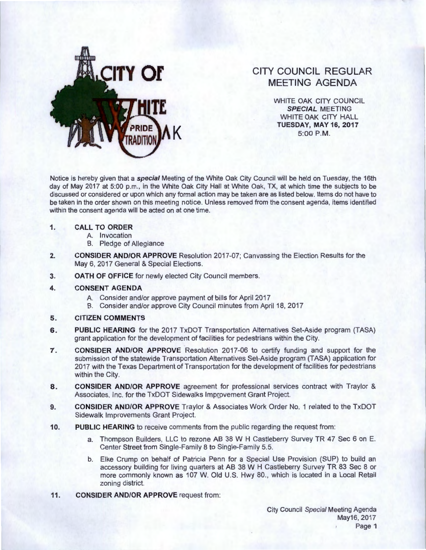

# **CITY COUNCIL REGULAR MEETING AGENDA**

WHITE OAK CITY COUNCIL **SPECIAL** MEETING WHITE OAK CITY HALL **TUESDAY, MAY 16, 2017**<br>5:00 P.M.

Notice is hereby given that a **special** Meeting of the White Oak City Council will be held on Tuesday, the 16th day of May 2017 at 5:00 p.m., in the White Oak City Hall at White Oak, TX, at which time the subjects to be discussed or considered or upon which any formal action may be taken are as listed below. Items do not have to be taken in the order shown on this meeting notice. Unless removed from the consent agenda, items identified within the consent agenda will be acted on at one time.

## **1. CALL TO ORDER**

- A. Invocation
- B. Pledge of Allegiance
- **2. CONSIDER AND/OR APPROVE** Resolution 2017-07; Canvassing the Election Results for the May 6, 2017 General & Special Elections.
- **3. OATH OF OFFICE** for newly elected City Council members.
- **4. CONSENT AGENDA** 
	- A. Consider and/or approve payment of bills for April 2017
	- B. Consider and/or approve City Council minutes from April 18, 2017
- **5. CITIZEN COMMENTS**
- **6.** PUBLIC HEARING for the 2017 TxDOT Transportation Alternatives Set-Aside program (TASA) grant application for the development of facilities for pedestrians within the City.
- **7. CONSIDER AND/OR APPROVE** Resolution 2017-06 to certify funding and support for the submission of the statewide Transportation Alternatives Set-Aside program (TASA) application for 2017 with the Texas Department of Transportation for the development of facilities for pedestrians within the City.
- **8. CONSIDER AND/OR APPROVE** agreement for professional services contract with Traylor & Associates, Inc. for the TxDOT Sidewalks Improvement Grant Project.
- **9. CONSIDER AND/OR APPROVE** Traylor & Associates Work Order No. 1 related to the TxDOT Sidewalk Improvements Grant Project.
- **10. PUBLIC HEARING** to receive comments from the public regarding the request from:
	- a. Thompson Builders, LLC to rezone AB 38 W H Castleberry Survey TR 47 Sec 6 on E. Center Street from Single-Family 8 to Single-Family 5.5.
	- b. Elke Crump on behalf of Patricia Penn for a Special Use Provision (SUP) to build an accessory building for living quarters at AB 38 W H Castleberry Survey TR 83 Sec 8 or more commonly known as 107 W. Old U.S. Hwy 80. , which is located in a Local Retail zoning district.
- **11.** CONSIDER AND/OR APPROVE request from: